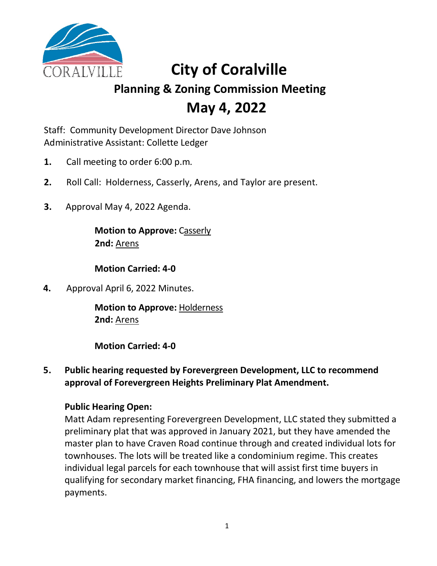

# **City of Coralville**

# **Planning & Zoning Commission Meeting May 4, 2022**

Staff: Community Development Director Dave Johnson Administrative Assistant: Collette Ledger

- **1.** Call meeting to order 6:00 p.m.
- **2.** Roll Call: Holderness, Casserly, Arens, and Taylor are present.
- **3.** Approval May 4, 2022 Agenda.

**Motion to Approve:** Casserly **2nd:** Arens

**Motion Carried: 4-0**

**4.** Approval April 6, 2022 Minutes.

**Motion to Approve:** Holderness **2nd:** Arens

**Motion Carried: 4-0**

#### **5. Public hearing requested by Forevergreen Development, LLC to recommend approval of Forevergreen Heights Preliminary Plat Amendment.**

#### **Public Hearing Open:**

Matt Adam representing Forevergreen Development, LLC stated they submitted a preliminary plat that was approved in January 2021, but they have amended the master plan to have Craven Road continue through and created individual lots for townhouses. The lots will be treated like a condominium regime. This creates individual legal parcels for each townhouse that will assist first time buyers in qualifying for secondary market financing, FHA financing, and lowers the mortgage payments.